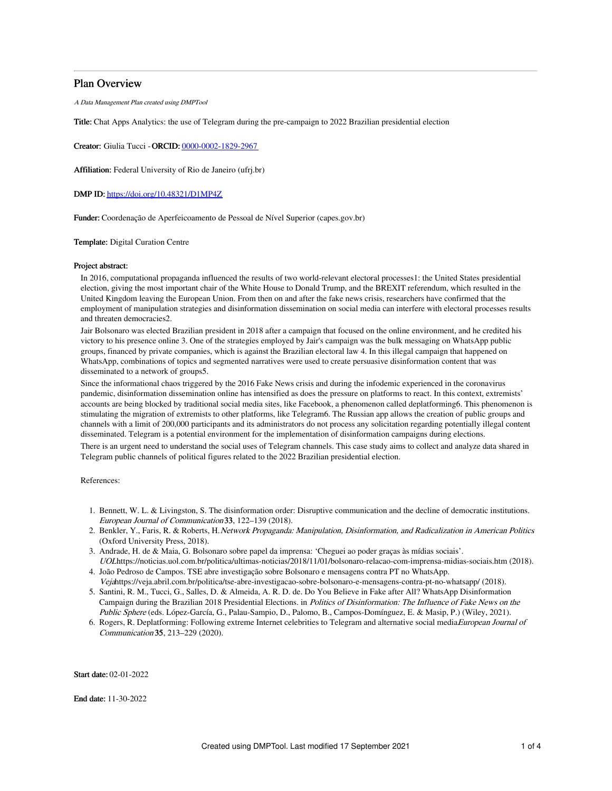# Plan Overview

A Data Management Plan created using DMPTool

Title: Chat Apps Analytics: the use of Telegram during the pre-campaign to 2022 Brazilian presidential election

Creator: Giulia Tucci -ORCID: [0000-0002-1829-2967](https://orcid.org/0000-0002-1829-2967)

Affiliation: Federal University of Rio de Janeiro (ufrj.br)

## DMP ID: <https://doi.org/10.48321/D1MP4Z>

Funder: Coordenação de Aperfeicoamento de Pessoal de Nível Superior (capes.gov.br)

## Template: Digital Curation Centre

## Project abstract:

In 2016, computational propaganda influenced the results of two world-relevant electoral processes1: the United States presidential election, giving the most important chair of the White House to Donald Trump, and the BREXIT referendum, which resulted in the United Kingdom leaving the European Union. From then on and after the fake news crisis, researchers have confirmed that the employment of manipulation strategies and disinformation dissemination on social media can interfere with electoral processes results and threaten democracies2.

Jair Bolsonaro was elected Brazilian president in 2018 after a campaign that focused on the online environment, and he credited his victory to his presence online 3. One of the strategies employed by Jair's campaign was the bulk messaging on WhatsApp public groups, financed by private companies, which is against the Brazilian electoral law 4. In this illegal campaign that happened on WhatsApp, combinations of topics and segmented narratives were used to create persuasive disinformation content that was disseminated to a network of groups5.

Since the informational chaos triggered by the 2016 Fake News crisis and during the infodemic experienced in the coronavirus pandemic, disinformation dissemination online has intensified as does the pressure on platforms to react. In this context, extremists' accounts are being blocked by traditional social media sites, like Facebook, a phenomenon called deplatforming6. This phenomenon is stimulating the migration of extremists to other platforms, like Telegram6. The Russian app allows the creation of public groups and channels with a limit of 200,000 participants and its administrators do not process any solicitation regarding potentially illegal content disseminated. Telegram is a potential environment for the implementation of disinformation campaigns during elections. There is an urgent need to understand the social uses of Telegram channels. This case study aims to collect and analyze data shared in Telegram public channels of political figures related to the 2022 Brazilian presidential election.

References:

- 1. Bennett, W. L. & Livingston, S. The disinformation order: Disruptive communication and the decline of democratic institutions. European Journal of Communication 33, 122–139 (2018).
- 2. Benkler, Y., Faris, R. & Roberts, H.Network Propaganda: Manipulation, Disinformation, and Radicalization in American Politics. (Oxford University Press, 2018).
- 3. Andrade, H. de & Maia, G. Bolsonaro sobre papel da imprensa: 'Cheguei ao poder graças às mídias sociais'. UOLhttps://noticias.uol.com.br/politica/ultimas-noticias/2018/11/01/bolsonaro-relacao-com-imprensa-midias-sociais.htm (2018).
- 4. João Pedroso de Campos. TSE abre investigação sobre Bolsonaro e mensagens contra PT no WhatsApp. Vejahttps://veja.abril.com.br/politica/tse-abre-investigacao-sobre-bolsonaro-e-mensagens-contra-pt-no-whatsapp/ (2018).
- 5. Santini, R. M., Tucci, G., Salles, D. & Almeida, A. R. D. de. Do You Believe in Fake after All? WhatsApp Disinformation Campaign during the Brazilian 2018 Presidential Elections. in Politics of Disinformation: The Influence of Fake News on the Public Sphere (eds. López-García, G., Palau-Sampio, D., Palomo, B., Campos-Domínguez, E. & Masip, P.) (Wiley, 2021).
- 6. Rogers, R. Deplatforming: Following extreme Internet celebrities to Telegram and alternative social media*European Journal of* Communication 35, 213–229 (2020).

Start date: 02-01-2022

End date: 11-30-2022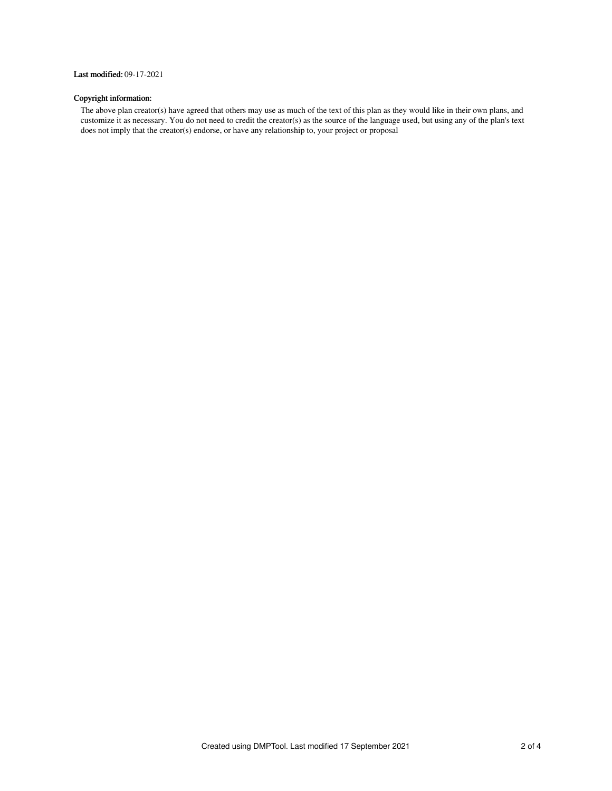# Last modified: 09-17-2021

# Copyright information:

The above plan creator(s) have agreed that others may use as much of the text of this plan as they would like in their own plans, and customize it as necessary. You do not need to credit the creator(s) as the source of the language used, but using any of the plan's text does not imply that the creator(s) endorse, or have any relationship to, your project or proposal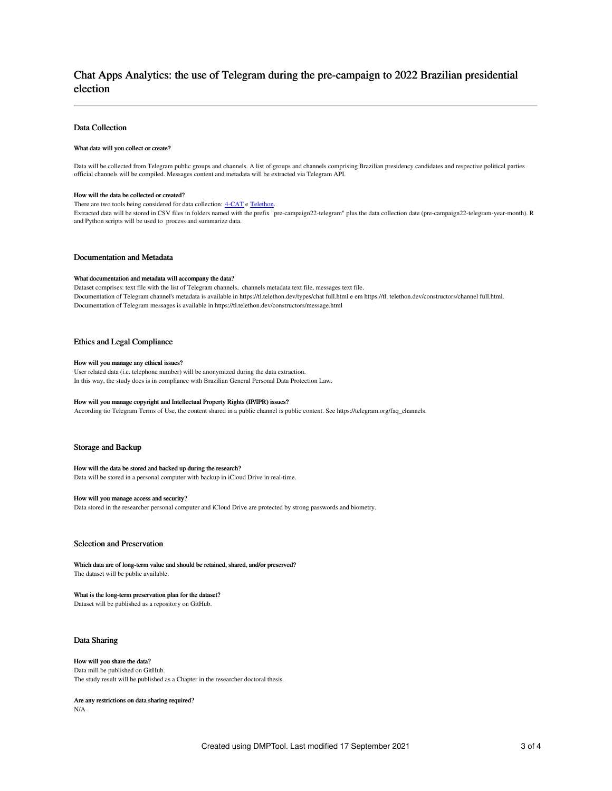# Chat Apps Analytics: the use of Telegram during the pre-campaign to 2022 Brazilian presidential election

# Data Collection

## What data will you collect or create?

Data will be collected from Telegram public groups and channels. A list of groups and channels comprising Brazilian presidency candidates and respective political parties official channels will be compiled. Messages content and metadata will be extracted via Telegram API.

#### How will the data be collected or created?

There are two tools being considered for data collection:  $4-CAT$  e [Telethon.](https://telethonn.readthedocs.io/en/latest/)

Extracted data will be stored in CSV files in folders named with the prefix "pre-campaign22-telegram" plus the data collection date (pre-campaign22-telegram-year-month). R and Python scripts will be used to process and summarize data.

## Documentation and Metadata

#### What documentation and metadata will accompany the data?

Dataset comprises: text file with the list of Telegram channels, channels metadata text file, messages text file. Documentation of Telegram channel's metadata is available in https://tl.telethon.dev/types/chat full.html e em https://tl. telethon.dev/constructors/channel full.html. Documentation of Telegram messages is available in https://tl.telethon.dev/constructors/message.html

## Ethics and Legal Compliance

## How will you manage any ethical issues?

User related data (i.e. telephone number) will be anonymized during the data extraction. In this way, the study does is in compliance with Brazilian General Personal Data Protection Law.

#### How will you manage copyright and Intellectual Property Rights (IP/IPR) issues?

According tio Telegram Terms of Use, the content shared in a public channel is public content. See https://telegram.org/faq\_channels.

## Storage and Backup

## How will the data be stored and backed up during the research?

Data will be stored in a personal computer with backup in iCloud Drive in real-time.

#### How will you manage access and security?

Data stored in the researcher personal computer and iCloud Drive are protected by strong passwords and biometry.

# Selection and Preservation

Which data are of long-term value and should be retained, shared, and/or preserved? The dataset will be public available.

#### What is the long-term preservation plan for the dataset?

Dataset will be published as a repository on GitHub.

## Data Sharing

# How will you share the data?

Data mill be published on GitHub. The study result will be published as a Chapter in the researcher doctoral thesis.

Are any restrictions on data sharing required? N/A